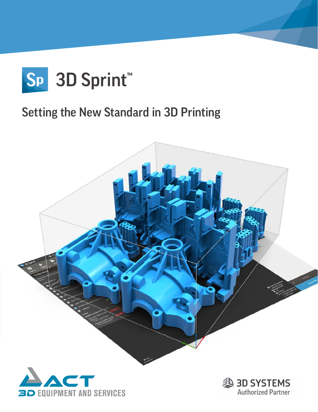

### Setting the New Standard in 3D Printing



**3D EQUIPMENT AND SERVICES** 

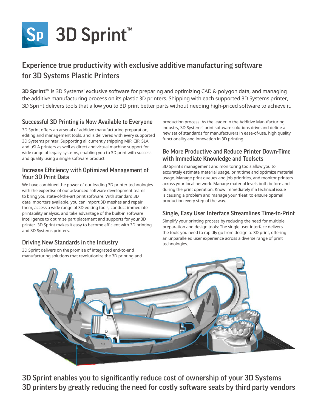

### Experience true productivity with exclusive additive manufacturing software for 3D Systems Plastic Printers

**3D Sprint™** is 3D Systems' exclusive software for preparing and optimizing CAD & polygon data, and managing the additive manufacturing process on its plastic 3D printers. Shipping with each supported 3D Systems printer, 3D Sprint delivers tools that allow you to 3D print better parts without needing high-priced software to achieve it.

#### Successful 3D Printing is Now Available to Everyone

3D Sprint offers an arsenal of additive manufacturing preparation, editing and management tools, and is delivered with every supported 3D Systems printer. Supporting all currently shipping MJP, CJP, SLA, and uSLA printers as well as direct and virtual machine support for wide range of legacy systems, enabling you to 3D print with success and quality using a single software product.

#### Increase Efficiency with Optimized Management of Your 3D Print Data

We have combined the power of our leading 3D printer technologies with the expertise of our advanced software development teams to bring you state-of-the-art print software. With standard 3D data importers available, you can import 3D meshes and repair them, access a wide range of 3D editing tools, conduct immediate printability analysis, and take advantage of the built-in software intelligence to optimize part placement and supports for your 3D printer. 3D Sprint makes it easy to become efficient with 3D printing and 3D Systems printers.

#### Driving New Standards in the Industry

3D Sprint delivers on the promise of integrated end-to-end manufacturing solutions that revolutionize the 3D printing and production process. As the leader in the Additive Manufacturing industry, 3D Systems' print software solutions drive and define a new set of standards for manufacturers in ease-of-use, high quality functionality and innovation in 3D printing.

#### Be More Productive and Reduce Printer Down-Time with Immediate Knowledge and Toolsets

3D Sprint's management and monitoring tools allow you to accurately estimate material usage, print time and optimize material usage. Manage print queues and job priorities, and monitor printers across your local network. Manage material levels both before and during the print operation. Know immediately if a technical issue is causing a problem and manage your 'fleet' to ensure optimal production every step of the way.

#### Single, Easy User Interface Streamlines Time-to-Print

Simplify your printing process by reducing the need for multiple preparation and design tools: The single user interface delivers the tools you need to rapidly go from design to 3D print, offering an unparalleled user experience across a diverse range of print technologies.



3D Sprint enables you to significantly reduce cost of ownership of your 3D Systems 3D printers by greatly reducing the need for costly software seats by third party vendors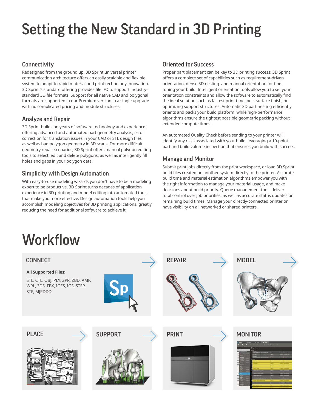# Setting the New Standard in 3D Printing

#### **Connectivity**

Redesigned from the ground up, 3D Sprint universal printer communication architecture offers an easily scalable and flexible system to adapt to rapid material and print technology innovation. 3D Sprint's standard offering provides file I/O to support industrystandard 3D file formats. Support for all native CAD and polygonal formats are supported in our Premium version in a single upgrade with no complicated pricing and module structures.

#### Analyze and Repair

3D Sprint builds on years of software technology and experience offering advanced and automated part geometry analysis, error correction for translation issues in your CAD or STL design files as well as bad polygon geometry in 3D scans. For more difficult geometry repair scenarios, 3D Sprint offers manual polygon editing tools to select, edit and delete polygons, as well as intelligently fill holes and gaps in your polygon data.

#### Simplicity with Design Automation

With easy-to-use modeling wizards you don't have to be a modeling expert to be productive. 3D Sprint turns decades of application experience in 3D printing and model editing into automated tools that make you more effective. Design automation tools help you accomplish modeling objectives for 3D printing applications, greatly reducing the need for additional software to achieve it.

#### Oriented for Success

Proper part placement can be key to 3D printing success: 3D Sprint offers a complete set of capabilities such as requirement-driven orientation, dense 3D nesting and manual orientation for finetuning your build. Intelligent orientation tools allow you to set your orientation constraints and allow the software to automatically find the ideal solution such as fastest print time, best surface finish, or optimizing support structures. Automatic 3D part nesting efficiently orients and packs your build platform, while high-performance algorithms ensure the tightest possible geometric packing without extended compute times.

An automated Quality Check before sending to your printer will identify any risks associated with your build, leveraging a 10-point part and build volume inspection that ensures you build with success.

#### Manage and Monitor

Submit print jobs directly from the print workspace, or load 3D Sprint build files created on another system directly to the printer. Accurate build time and material estimation algorithms empower you with the right information to manage your material usage, and make decisions about build priority. Queue management tools deliver total control over job priorities, as well as accurate status updates on remaining build times. Manage your directly-connected printer or have visibility on all networked or shared printers.

## **Workflow**